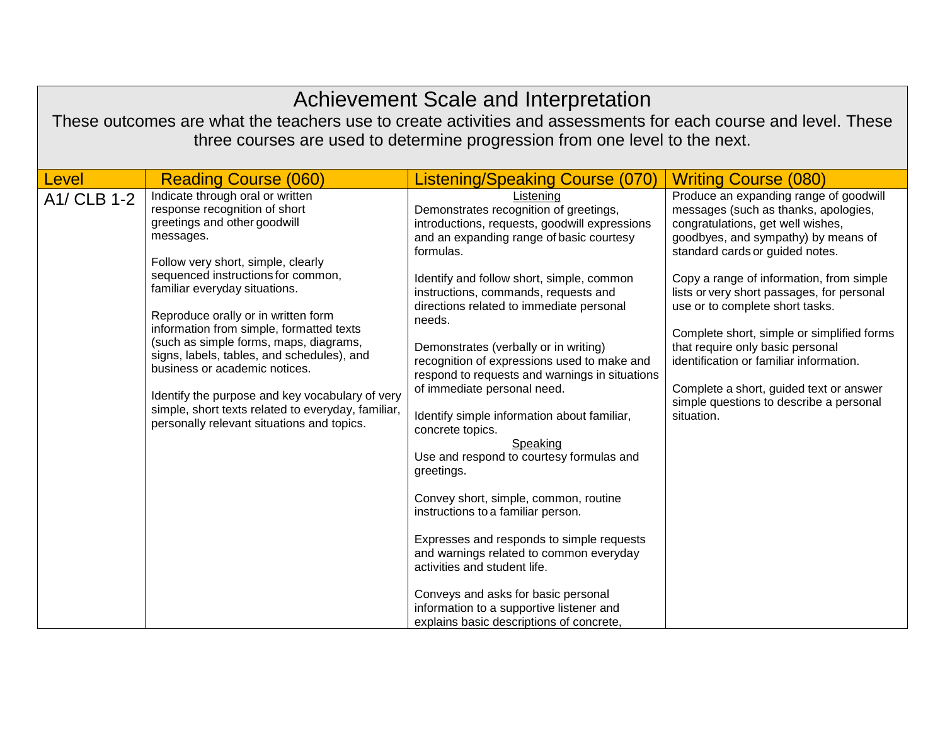| Achievement Scale and Interpretation                                                                                                                                                          |                                                                                                                                                                                                                                                                                                                                                                                                                                                                                                                                                                                                |                                                                                                                                                                                                                                                                                                                                                                                                                                                                                                                                                                                                                                                                                                                                                                                                                                                                                                                                                                  |                                                                                                                                                                                                                                                                                                                                                                                                                                                                                                                                                             |
|-----------------------------------------------------------------------------------------------------------------------------------------------------------------------------------------------|------------------------------------------------------------------------------------------------------------------------------------------------------------------------------------------------------------------------------------------------------------------------------------------------------------------------------------------------------------------------------------------------------------------------------------------------------------------------------------------------------------------------------------------------------------------------------------------------|------------------------------------------------------------------------------------------------------------------------------------------------------------------------------------------------------------------------------------------------------------------------------------------------------------------------------------------------------------------------------------------------------------------------------------------------------------------------------------------------------------------------------------------------------------------------------------------------------------------------------------------------------------------------------------------------------------------------------------------------------------------------------------------------------------------------------------------------------------------------------------------------------------------------------------------------------------------|-------------------------------------------------------------------------------------------------------------------------------------------------------------------------------------------------------------------------------------------------------------------------------------------------------------------------------------------------------------------------------------------------------------------------------------------------------------------------------------------------------------------------------------------------------------|
| These outcomes are what the teachers use to create activities and assessments for each course and level. These<br>three courses are used to determine progression from one level to the next. |                                                                                                                                                                                                                                                                                                                                                                                                                                                                                                                                                                                                |                                                                                                                                                                                                                                                                                                                                                                                                                                                                                                                                                                                                                                                                                                                                                                                                                                                                                                                                                                  |                                                                                                                                                                                                                                                                                                                                                                                                                                                                                                                                                             |
| Level                                                                                                                                                                                         | <b>Reading Course (060)</b>                                                                                                                                                                                                                                                                                                                                                                                                                                                                                                                                                                    | <b>Listening/Speaking Course (070)</b>                                                                                                                                                                                                                                                                                                                                                                                                                                                                                                                                                                                                                                                                                                                                                                                                                                                                                                                           | <b>Writing Course (080)</b>                                                                                                                                                                                                                                                                                                                                                                                                                                                                                                                                 |
| A1/ CLB 1-2                                                                                                                                                                                   | Indicate through oral or written<br>response recognition of short<br>greetings and other goodwill<br>messages.<br>Follow very short, simple, clearly<br>sequenced instructions for common,<br>familiar everyday situations.<br>Reproduce orally or in written form<br>information from simple, formatted texts<br>(such as simple forms, maps, diagrams,<br>signs, labels, tables, and schedules), and<br>business or academic notices.<br>Identify the purpose and key vocabulary of very<br>simple, short texts related to everyday, familiar,<br>personally relevant situations and topics. | Listening<br>Demonstrates recognition of greetings,<br>introductions, requests, goodwill expressions<br>and an expanding range of basic courtesy<br>formulas.<br>Identify and follow short, simple, common<br>instructions, commands, requests and<br>directions related to immediate personal<br>needs.<br>Demonstrates (verbally or in writing)<br>recognition of expressions used to make and<br>respond to requests and warnings in situations<br>of immediate personal need.<br>Identify simple information about familiar,<br>concrete topics.<br>Speaking<br>Use and respond to courtesy formulas and<br>greetings.<br>Convey short, simple, common, routine<br>instructions to a familiar person.<br>Expresses and responds to simple requests<br>and warnings related to common everyday<br>activities and student life.<br>Conveys and asks for basic personal<br>information to a supportive listener and<br>explains basic descriptions of concrete. | Produce an expanding range of goodwill<br>messages (such as thanks, apologies,<br>congratulations, get well wishes,<br>goodbyes, and sympathy) by means of<br>standard cards or guided notes.<br>Copy a range of information, from simple<br>lists or very short passages, for personal<br>use or to complete short tasks.<br>Complete short, simple or simplified forms<br>that require only basic personal<br>identification or familiar information.<br>Complete a short, guided text or answer<br>simple questions to describe a personal<br>situation. |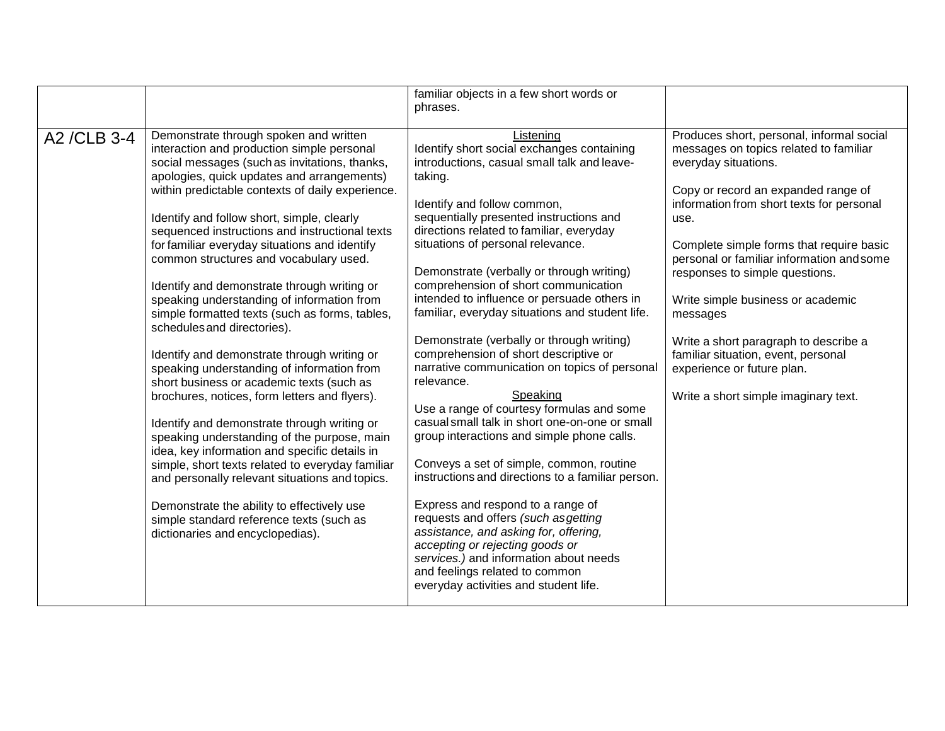|              |                                                                                                                                                                                                                                                                                                                                                                                                                                                                                                                                                                                                                                                                                                                                                                                                                                                                                                                                                                                                                                                                                                                                                                                                | familiar objects in a few short words or                                                                                                                                                                                                                                                                                                                                                                                                                                                                                                                                                                                                                                                                                                                                                                                                                                                                                                                                                                                                                                                                                                                        |                                                                                                                                                                                                                                                                                                                                                                                                                                                                                                                                           |
|--------------|------------------------------------------------------------------------------------------------------------------------------------------------------------------------------------------------------------------------------------------------------------------------------------------------------------------------------------------------------------------------------------------------------------------------------------------------------------------------------------------------------------------------------------------------------------------------------------------------------------------------------------------------------------------------------------------------------------------------------------------------------------------------------------------------------------------------------------------------------------------------------------------------------------------------------------------------------------------------------------------------------------------------------------------------------------------------------------------------------------------------------------------------------------------------------------------------|-----------------------------------------------------------------------------------------------------------------------------------------------------------------------------------------------------------------------------------------------------------------------------------------------------------------------------------------------------------------------------------------------------------------------------------------------------------------------------------------------------------------------------------------------------------------------------------------------------------------------------------------------------------------------------------------------------------------------------------------------------------------------------------------------------------------------------------------------------------------------------------------------------------------------------------------------------------------------------------------------------------------------------------------------------------------------------------------------------------------------------------------------------------------|-------------------------------------------------------------------------------------------------------------------------------------------------------------------------------------------------------------------------------------------------------------------------------------------------------------------------------------------------------------------------------------------------------------------------------------------------------------------------------------------------------------------------------------------|
|              |                                                                                                                                                                                                                                                                                                                                                                                                                                                                                                                                                                                                                                                                                                                                                                                                                                                                                                                                                                                                                                                                                                                                                                                                | phrases.                                                                                                                                                                                                                                                                                                                                                                                                                                                                                                                                                                                                                                                                                                                                                                                                                                                                                                                                                                                                                                                                                                                                                        |                                                                                                                                                                                                                                                                                                                                                                                                                                                                                                                                           |
| A2 / CLB 3-4 | Demonstrate through spoken and written<br>interaction and production simple personal<br>social messages (such as invitations, thanks,<br>apologies, quick updates and arrangements)<br>within predictable contexts of daily experience.<br>Identify and follow short, simple, clearly<br>sequenced instructions and instructional texts<br>for familiar everyday situations and identify<br>common structures and vocabulary used.<br>Identify and demonstrate through writing or<br>speaking understanding of information from<br>simple formatted texts (such as forms, tables,<br>schedules and directories).<br>Identify and demonstrate through writing or<br>speaking understanding of information from<br>short business or academic texts (such as<br>brochures, notices, form letters and flyers).<br>Identify and demonstrate through writing or<br>speaking understanding of the purpose, main<br>idea, key information and specific details in<br>simple, short texts related to everyday familiar<br>and personally relevant situations and topics.<br>Demonstrate the ability to effectively use<br>simple standard reference texts (such as<br>dictionaries and encyclopedias). | Listening<br>Identify short social exchanges containing<br>introductions, casual small talk and leave-<br>taking.<br>Identify and follow common,<br>sequentially presented instructions and<br>directions related to familiar, everyday<br>situations of personal relevance.<br>Demonstrate (verbally or through writing)<br>comprehension of short communication<br>intended to influence or persuade others in<br>familiar, everyday situations and student life.<br>Demonstrate (verbally or through writing)<br>comprehension of short descriptive or<br>narrative communication on topics of personal<br>relevance.<br>Speaking<br>Use a range of courtesy formulas and some<br>casual small talk in short one-on-one or small<br>group interactions and simple phone calls.<br>Conveys a set of simple, common, routine<br>instructions and directions to a familiar person.<br>Express and respond to a range of<br>requests and offers (such asgetting<br>assistance, and asking for, offering,<br>accepting or rejecting goods or<br>services.) and information about needs<br>and feelings related to common<br>everyday activities and student life. | Produces short, personal, informal social<br>messages on topics related to familiar<br>everyday situations.<br>Copy or record an expanded range of<br>information from short texts for personal<br>use.<br>Complete simple forms that require basic<br>personal or familiar information and some<br>responses to simple questions.<br>Write simple business or academic<br>messages<br>Write a short paragraph to describe a<br>familiar situation, event, personal<br>experience or future plan.<br>Write a short simple imaginary text. |
|              |                                                                                                                                                                                                                                                                                                                                                                                                                                                                                                                                                                                                                                                                                                                                                                                                                                                                                                                                                                                                                                                                                                                                                                                                |                                                                                                                                                                                                                                                                                                                                                                                                                                                                                                                                                                                                                                                                                                                                                                                                                                                                                                                                                                                                                                                                                                                                                                 |                                                                                                                                                                                                                                                                                                                                                                                                                                                                                                                                           |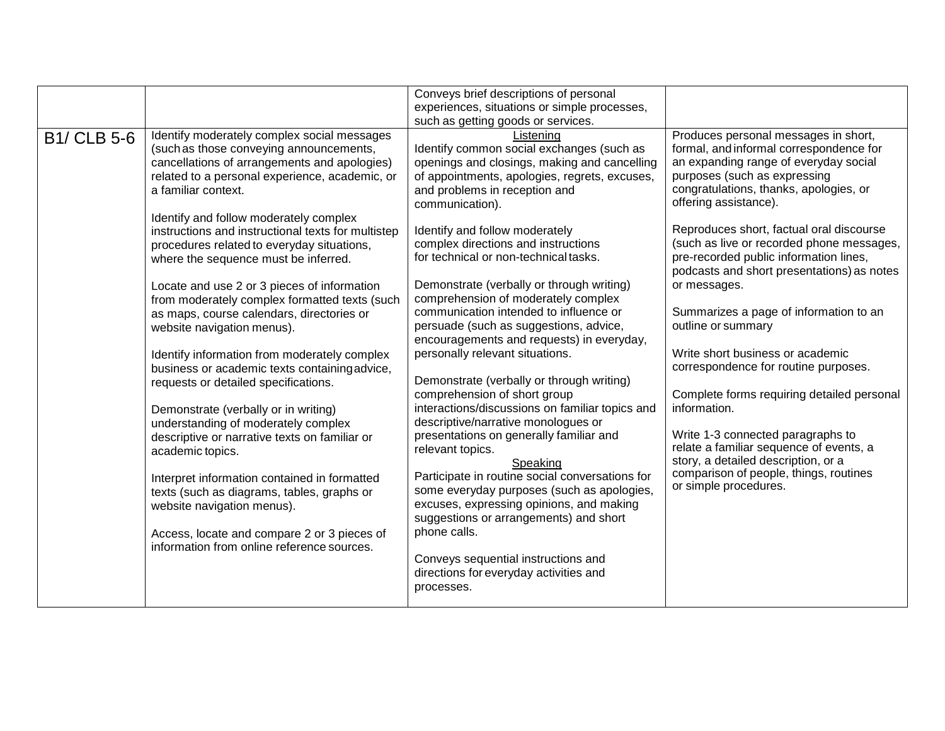| Produces personal messages in short,<br>Identify moderately complex social messages<br><b>B1/ CLB 5-6</b><br>Listening<br>formal, and informal correspondence for<br>Identify common social exchanges (such as<br>(such as those conveying announcements,<br>an expanding range of everyday social<br>cancellations of arrangements and apologies)<br>openings and closings, making and cancelling<br>purposes (such as expressing<br>related to a personal experience, academic, or<br>of appointments, apologies, regrets, excuses,<br>congratulations, thanks, apologies, or<br>a familiar context.<br>and problems in reception and<br>offering assistance).<br>communication).<br>Identify and follow moderately complex<br>Reproduces short, factual oral discourse<br>instructions and instructional texts for multistep<br>Identify and follow moderately<br>(such as live or recorded phone messages,<br>complex directions and instructions<br>procedures related to everyday situations,<br>pre-recorded public information lines,<br>for technical or non-technical tasks.<br>where the sequence must be inferred.<br>podcasts and short presentations) as notes<br>Demonstrate (verbally or through writing)<br>or messages.<br>Locate and use 2 or 3 pieces of information<br>comprehension of moderately complex<br>from moderately complex formatted texts (such<br>communication intended to influence or<br>Summarizes a page of information to an<br>as maps, course calendars, directories or<br>outline or summary<br>persuade (such as suggestions, advice,<br>website navigation menus).<br>encouragements and requests) in everyday,<br>personally relevant situations.<br>Write short business or academic<br>Identify information from moderately complex<br>correspondence for routine purposes.<br>business or academic texts containing advice,<br>Demonstrate (verbally or through writing)<br>requests or detailed specifications.<br>comprehension of short group<br>Complete forms requiring detailed personal<br>interactions/discussions on familiar topics and<br>information.<br>Demonstrate (verbally or in writing)<br>descriptive/narrative monologues or<br>understanding of moderately complex<br>Write 1-3 connected paragraphs to<br>presentations on generally familiar and<br>descriptive or narrative texts on familiar or<br>relate a familiar sequence of events, a<br>relevant topics.<br>academic topics.<br>story, a detailed description, or a<br>Speaking<br>comparison of people, things, routines<br>Participate in routine social conversations for<br>Interpret information contained in formatted<br>or simple procedures.<br>some everyday purposes (such as apologies,<br>texts (such as diagrams, tables, graphs or<br>excuses, expressing opinions, and making<br>website navigation menus).<br>suggestions or arrangements) and short<br>phone calls.<br>Access, locate and compare 2 or 3 pieces of<br>information from online reference sources.<br>Conveys sequential instructions and<br>directions for everyday activities and<br>processes. |  | Conveys brief descriptions of personal<br>experiences, situations or simple processes, |  |
|-------------------------------------------------------------------------------------------------------------------------------------------------------------------------------------------------------------------------------------------------------------------------------------------------------------------------------------------------------------------------------------------------------------------------------------------------------------------------------------------------------------------------------------------------------------------------------------------------------------------------------------------------------------------------------------------------------------------------------------------------------------------------------------------------------------------------------------------------------------------------------------------------------------------------------------------------------------------------------------------------------------------------------------------------------------------------------------------------------------------------------------------------------------------------------------------------------------------------------------------------------------------------------------------------------------------------------------------------------------------------------------------------------------------------------------------------------------------------------------------------------------------------------------------------------------------------------------------------------------------------------------------------------------------------------------------------------------------------------------------------------------------------------------------------------------------------------------------------------------------------------------------------------------------------------------------------------------------------------------------------------------------------------------------------------------------------------------------------------------------------------------------------------------------------------------------------------------------------------------------------------------------------------------------------------------------------------------------------------------------------------------------------------------------------------------------------------------------------------------------------------------------------------------------------------------------------------------------------------------------------------------------------------------------------------------------------------------------------------------------------------------------------------------------------------------------------------------------------------------------------------------------------------------------------------------------------------------------------------------------------------------------------------------------------------------------------------------------------------------------|--|----------------------------------------------------------------------------------------|--|
|                                                                                                                                                                                                                                                                                                                                                                                                                                                                                                                                                                                                                                                                                                                                                                                                                                                                                                                                                                                                                                                                                                                                                                                                                                                                                                                                                                                                                                                                                                                                                                                                                                                                                                                                                                                                                                                                                                                                                                                                                                                                                                                                                                                                                                                                                                                                                                                                                                                                                                                                                                                                                                                                                                                                                                                                                                                                                                                                                                                                                                                                                                                   |  | such as getting goods or services.                                                     |  |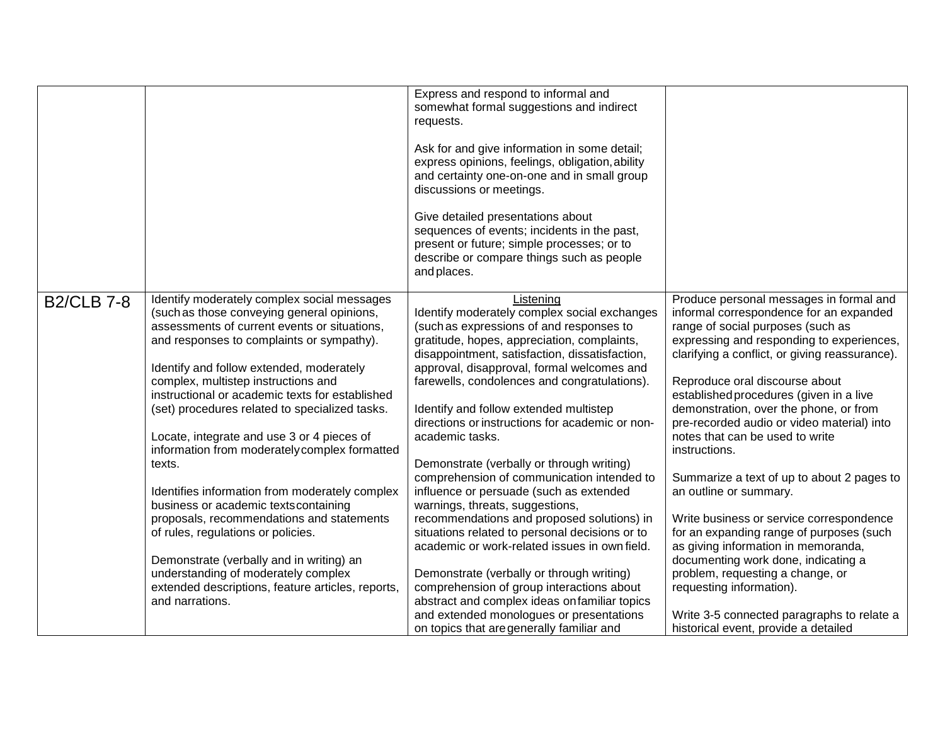|                   |                                                                                        | Express and respond to informal and             |                                                                                   |
|-------------------|----------------------------------------------------------------------------------------|-------------------------------------------------|-----------------------------------------------------------------------------------|
|                   |                                                                                        | somewhat formal suggestions and indirect        |                                                                                   |
|                   |                                                                                        | requests.                                       |                                                                                   |
|                   |                                                                                        | Ask for and give information in some detail;    |                                                                                   |
|                   |                                                                                        | express opinions, feelings, obligation, ability |                                                                                   |
|                   |                                                                                        | and certainty one-on-one and in small group     |                                                                                   |
|                   |                                                                                        | discussions or meetings.                        |                                                                                   |
|                   |                                                                                        | Give detailed presentations about               |                                                                                   |
|                   |                                                                                        | sequences of events; incidents in the past,     |                                                                                   |
|                   |                                                                                        | present or future; simple processes; or to      |                                                                                   |
|                   |                                                                                        | describe or compare things such as people       |                                                                                   |
|                   |                                                                                        | and places.                                     |                                                                                   |
| <b>B2/CLB 7-8</b> | Identify moderately complex social messages                                            | Listening                                       | Produce personal messages in formal and                                           |
|                   | (such as those conveying general opinions,                                             | Identify moderately complex social exchanges    | informal correspondence for an expanded                                           |
|                   | assessments of current events or situations,                                           | (such as expressions of and responses to        | range of social purposes (such as                                                 |
|                   | and responses to complaints or sympathy).                                              | gratitude, hopes, appreciation, complaints,     | expressing and responding to experiences,                                         |
|                   |                                                                                        | disappointment, satisfaction, dissatisfaction,  | clarifying a conflict, or giving reassurance).                                    |
|                   | Identify and follow extended, moderately                                               | approval, disapproval, formal welcomes and      |                                                                                   |
|                   | complex, multistep instructions and<br>instructional or academic texts for established | farewells, condolences and congratulations).    | Reproduce oral discourse about                                                    |
|                   |                                                                                        | Identify and follow extended multistep          | established procedures (given in a live<br>demonstration, over the phone, or from |
|                   | (set) procedures related to specialized tasks.                                         | directions or instructions for academic or non- | pre-recorded audio or video material) into                                        |
|                   | Locate, integrate and use 3 or 4 pieces of                                             | academic tasks.                                 | notes that can be used to write                                                   |
|                   | information from moderately complex formatted                                          |                                                 | instructions.                                                                     |
|                   | texts.                                                                                 | Demonstrate (verbally or through writing)       |                                                                                   |
|                   |                                                                                        | comprehension of communication intended to      | Summarize a text of up to about 2 pages to                                        |
|                   | Identifies information from moderately complex                                         | influence or persuade (such as extended         | an outline or summary.                                                            |
|                   | business or academic texts containing                                                  | warnings, threats, suggestions,                 |                                                                                   |
|                   | proposals, recommendations and statements                                              | recommendations and proposed solutions) in      | Write business or service correspondence                                          |
|                   | of rules, regulations or policies.                                                     | situations related to personal decisions or to  | for an expanding range of purposes (such                                          |
|                   |                                                                                        | academic or work-related issues in own field.   | as giving information in memoranda,                                               |
|                   | Demonstrate (verbally and in writing) an                                               |                                                 | documenting work done, indicating a                                               |
|                   | understanding of moderately complex                                                    | Demonstrate (verbally or through writing)       | problem, requesting a change, or                                                  |
|                   | extended descriptions, feature articles, reports,                                      | comprehension of group interactions about       | requesting information).                                                          |
|                   | and narrations.                                                                        | abstract and complex ideas on familiar topics   |                                                                                   |
|                   |                                                                                        | and extended monologues or presentations        | Write 3-5 connected paragraphs to relate a                                        |
|                   |                                                                                        | on topics that are generally familiar and       | historical event, provide a detailed                                              |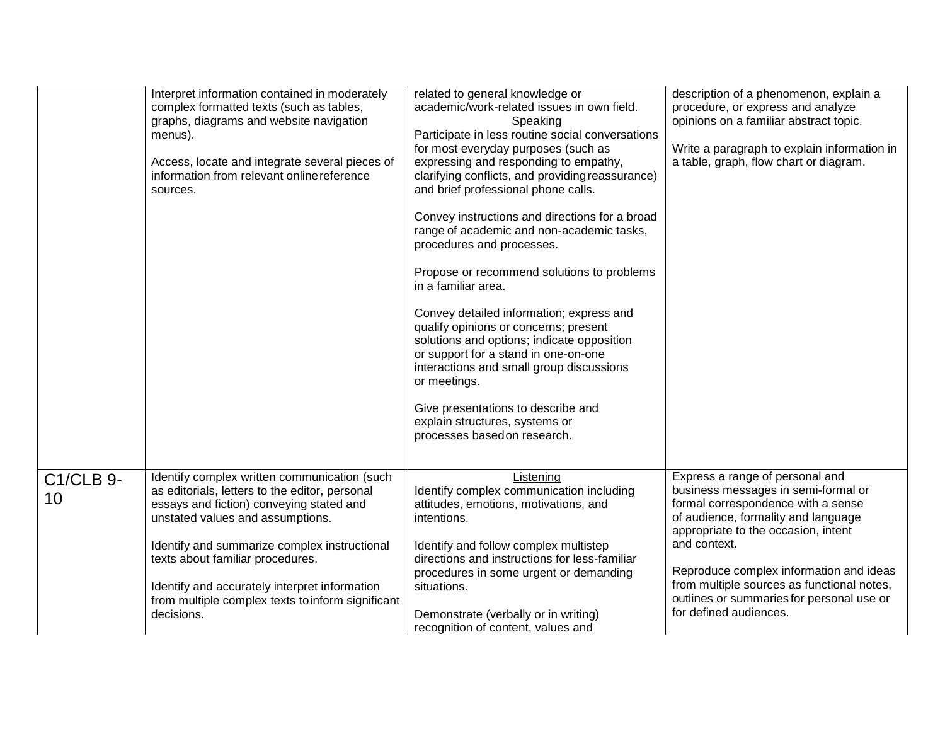|                        | Interpret information contained in moderately<br>complex formatted texts (such as tables,<br>graphs, diagrams and website navigation<br>menus).<br>Access, locate and integrate several pieces of<br>information from relevant online reference<br>sources. | related to general knowledge or<br>academic/work-related issues in own field.<br>Speaking<br>Participate in less routine social conversations<br>for most everyday purposes (such as<br>expressing and responding to empathy,<br>clarifying conflicts, and providing reassurance)<br>and brief professional phone calls.<br>Convey instructions and directions for a broad<br>range of academic and non-academic tasks,<br>procedures and processes.<br>Propose or recommend solutions to problems<br>in a familiar area.<br>Convey detailed information; express and<br>qualify opinions or concerns; present<br>solutions and options; indicate opposition<br>or support for a stand in one-on-one<br>interactions and small group discussions<br>or meetings.<br>Give presentations to describe and<br>explain structures, systems or<br>processes based on research. | description of a phenomenon, explain a<br>procedure, or express and analyze<br>opinions on a familiar abstract topic.<br>Write a paragraph to explain information in<br>a table, graph, flow chart or diagram. |
|------------------------|-------------------------------------------------------------------------------------------------------------------------------------------------------------------------------------------------------------------------------------------------------------|--------------------------------------------------------------------------------------------------------------------------------------------------------------------------------------------------------------------------------------------------------------------------------------------------------------------------------------------------------------------------------------------------------------------------------------------------------------------------------------------------------------------------------------------------------------------------------------------------------------------------------------------------------------------------------------------------------------------------------------------------------------------------------------------------------------------------------------------------------------------------|----------------------------------------------------------------------------------------------------------------------------------------------------------------------------------------------------------------|
| <b>C1/CLB 9-</b><br>10 | Identify complex written communication (such<br>as editorials, letters to the editor, personal<br>essays and fiction) conveying stated and<br>unstated values and assumptions.<br>Identify and summarize complex instructional                              | Listening<br>Identify complex communication including<br>attitudes, emotions, motivations, and<br>intentions.<br>Identify and follow complex multistep                                                                                                                                                                                                                                                                                                                                                                                                                                                                                                                                                                                                                                                                                                                   | Express a range of personal and<br>business messages in semi-formal or<br>formal correspondence with a sense<br>of audience, formality and language<br>appropriate to the occasion, intent<br>and context.     |
|                        | texts about familiar procedures.<br>Identify and accurately interpret information<br>from multiple complex texts to inform significant<br>decisions.                                                                                                        | directions and instructions for less-familiar<br>procedures in some urgent or demanding<br>situations.<br>Demonstrate (verbally or in writing)<br>recognition of content, values and                                                                                                                                                                                                                                                                                                                                                                                                                                                                                                                                                                                                                                                                                     | Reproduce complex information and ideas<br>from multiple sources as functional notes,<br>outlines or summaries for personal use or<br>for defined audiences.                                                   |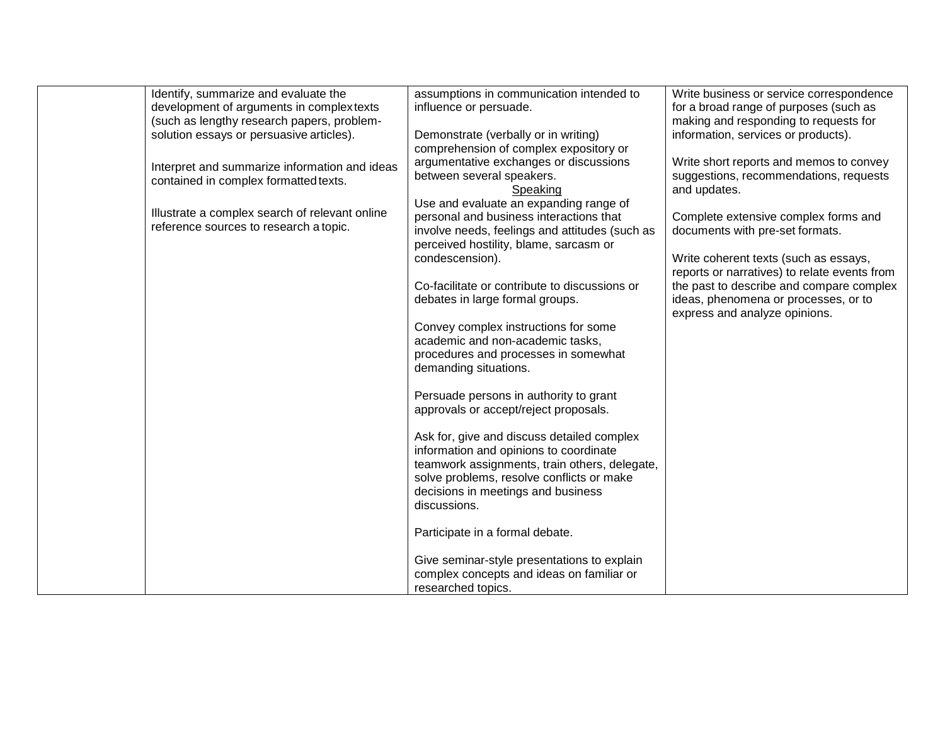| Identify, summarize and evaluate the           | assumptions in communication intended to       | Write business or service correspondence     |
|------------------------------------------------|------------------------------------------------|----------------------------------------------|
| development of arguments in complex texts      | influence or persuade.                         | for a broad range of purposes (such as       |
| (such as lengthy research papers, problem-     |                                                | making and responding to requests for        |
| solution essays or persuasive articles).       | Demonstrate (verbally or in writing)           | information, services or products).          |
|                                                | comprehension of complex expository or         |                                              |
| Interpret and summarize information and ideas  | argumentative exchanges or discussions         | Write short reports and memos to convey      |
| contained in complex formatted texts.          | between several speakers.                      | suggestions, recommendations, requests       |
|                                                | Speaking                                       | and updates.                                 |
|                                                | Use and evaluate an expanding range of         |                                              |
| Illustrate a complex search of relevant online | personal and business interactions that        | Complete extensive complex forms and         |
| reference sources to research a topic.         | involve needs, feelings and attitudes (such as | documents with pre-set formats.              |
|                                                | perceived hostility, blame, sarcasm or         |                                              |
|                                                | condescension).                                | Write coherent texts (such as essays,        |
|                                                |                                                | reports or narratives) to relate events from |
|                                                | Co-facilitate or contribute to discussions or  | the past to describe and compare complex     |
|                                                | debates in large formal groups.                | ideas, phenomena or processes, or to         |
|                                                |                                                | express and analyze opinions.                |
|                                                | Convey complex instructions for some           |                                              |
|                                                | academic and non-academic tasks,               |                                              |
|                                                | procedures and processes in somewhat           |                                              |
|                                                | demanding situations.                          |                                              |
|                                                |                                                |                                              |
|                                                | Persuade persons in authority to grant         |                                              |
|                                                | approvals or accept/reject proposals.          |                                              |
|                                                |                                                |                                              |
|                                                | Ask for, give and discuss detailed complex     |                                              |
|                                                | information and opinions to coordinate         |                                              |
|                                                | teamwork assignments, train others, delegate,  |                                              |
|                                                | solve problems, resolve conflicts or make      |                                              |
|                                                | decisions in meetings and business             |                                              |
|                                                | discussions.                                   |                                              |
|                                                |                                                |                                              |
|                                                | Participate in a formal debate.                |                                              |
|                                                |                                                |                                              |
|                                                | Give seminar-style presentations to explain    |                                              |
|                                                | complex concepts and ideas on familiar or      |                                              |
|                                                | researched topics.                             |                                              |